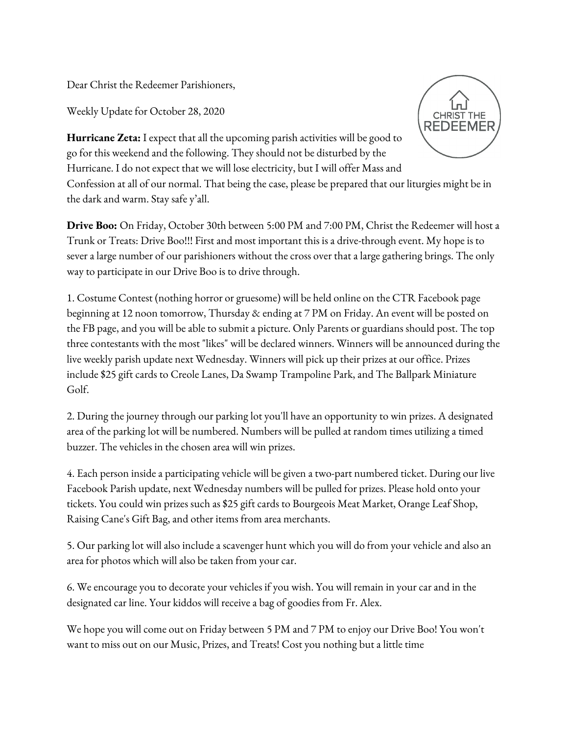Dear Christ the Redeemer Parishioners,

Weekly Update for October 28, 2020



**Hurricane Zeta:** I expect that all the upcoming parish activities will be good to go for this weekend and the following. They should not be disturbed by the Hurricane. I do not expect that we will lose electricity, but I will offer Mass and Confession at all of our normal. That being the case, please be prepared that our liturgies might be in the dark and warm. Stay safe y'all.

**Drive Boo:** On Friday, October 30th between 5:00 PM and 7:00 PM, Christ the Redeemer will host a Trunk or Treats: Drive Boo!!! First and most important this is a drive-through event. My hope is to sever a large number of our parishioners without the cross over that a large gathering brings. The only way to participate in our Drive Boo is to drive through.

1. Costume Contest (nothing horror or gruesome) will be held online on the CTR Facebook page beginning at 12 noon tomorrow, Thursday & ending at 7 PM on Friday. An event will be posted on the FB page, and you will be able to submit a picture. Only Parents or guardians should post. The top three contestants with the most "likes" will be declared winners. Winners will be announced during the live weekly parish update next Wednesday. Winners will pick up their prizes at our office. Prizes include \$25 gift cards to Creole Lanes, Da Swamp Trampoline Park, and The Ballpark Miniature Golf.

2. During the journey through our parking lot you'll have an opportunity to win prizes. A designated area of the parking lot will be numbered. Numbers will be pulled at random times utilizing a timed buzzer. The vehicles in the chosen area will win prizes.

4. Each person inside a participating vehicle will be given a two-part numbered ticket. During our live Facebook Parish update, next Wednesday numbers will be pulled for prizes. Please hold onto your tickets. You could win prizes such as \$25 gift cards to Bourgeois Meat Market, Orange Leaf Shop, Raising Cane's Gift Bag, and other items from area merchants.

5. Our parking lot will also include a scavenger hunt which you will do from your vehicle and also an area for photos which will also be taken from your car.

6. We encourage you to decorate your vehicles if you wish. You will remain in your car and in the designated car line. Your kiddos will receive a bag of goodies from Fr. Alex.

We hope you will come out on Friday between 5 PM and 7 PM to enjoy our Drive Boo! You won't want to miss out on our Music, Prizes, and Treats! Cost you nothing but a little time